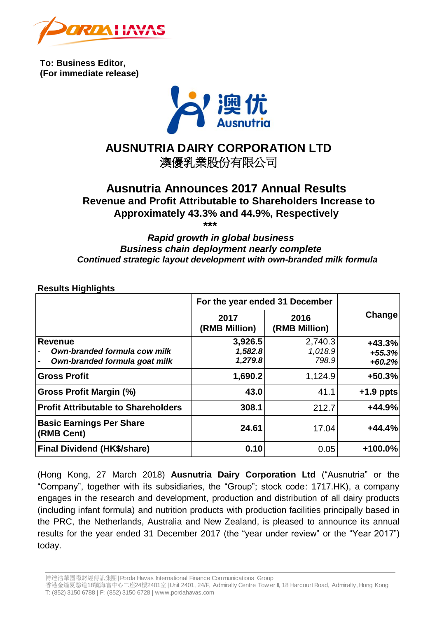

**To: Business Editor, (For immediate release)**



# **AUSNUTRIA DAIRY CORPORATION LTD**

澳優乳業股份有限公司

# **Ausnutria Announces 2017 Annual Results Revenue and Profit Attributable to Shareholders Increase to Approximately 43.3% and 44.9%, Respectively** *\*\*\**

# *Rapid growth in global business Business chain deployment nearly complete Continued strategic layout development with own-branded milk formula*

## **Results Highlights**

|                                                                                      | For the year ended 31 December |                             |                                  |
|--------------------------------------------------------------------------------------|--------------------------------|-----------------------------|----------------------------------|
|                                                                                      | 2017<br>(RMB Million)          | 2016<br>(RMB Million)       | Change                           |
| <b>Revenue</b><br>Own-branded formula cow milk<br>Own-branded formula goat milk<br>- | 3,926.5<br>1,582.8<br>1,279.8  | 2,740.3<br>1,018.9<br>798.9 | $+43.3%$<br>$+55.3%$<br>$+60.2%$ |
| <b>Gross Profit</b>                                                                  | 1,690.2                        | 1,124.9                     | $+50.3%$                         |
| Gross Profit Margin (%)                                                              | 43.0                           | 41.1                        | $+1.9$ ppts                      |
| <b>Profit Attributable to Shareholders</b>                                           | 308.1                          | 212.7                       | $+44.9%$                         |
| <b>Basic Earnings Per Share</b><br>(RMB Cent)                                        | 24.61                          | 17.04                       | $+44.4%$                         |
| <b>Final Dividend (HK\$/share)</b>                                                   | 0.10                           | 0.05                        | $+100.0\%$                       |

(Hong Kong, 27 March 2018) **Ausnutria Dairy Corporation Ltd** ("Ausnutria" or the "Company", together with its subsidiaries, the "Group"; stock code: 1717.HK), a company engages in the research and development, production and distribution of all dairy products (including infant formula) and nutrition products with production facilities principally based in the PRC, the Netherlands, Australia and New Zealand, is pleased to announce its annual results for the year ended 31 December 2017 (the "year under review" or the "Year 2017") today.

博達浩華國際財經傳訊集團| Porda Havas International Finance Communications Group

香港金鐘夏愨道18號海富中心二座24樓2401<sup>室</sup>| Unit 2401, 24/F, Admiralty Centre Tow er II, 18 Harcourt Road, Admiralty, Hong Kong T: (852) 3150 6788 | F: (852) 3150 6728 | www.pordahavas.com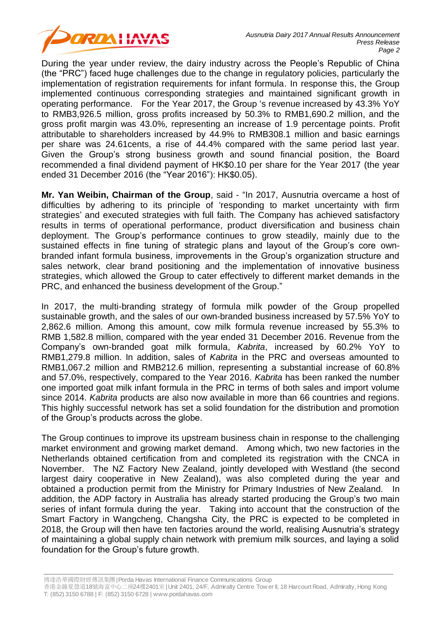

During the year under review, the dairy industry across the People's Republic of China (the "PRC") faced huge challenges due to the change in regulatory policies, particularly the implementation of registration requirements for infant formula. In response this, the Group implemented continuous corresponding strategies and maintained significant growth in operating performance. For the Year 2017, the Group 's revenue increased by 43.3% YoY to RMB3,926.5 million, gross profits increased by 50.3% to RMB1,690.2 million, and the gross profit margin was 43.0%, representing an increase of 1.9 percentage points. Profit attributable to shareholders increased by 44.9% to RMB308.1 million and basic earnings per share was 24.61cents, a rise of 44.4% compared with the same period last year. Given the Group's strong business growth and sound financial position, the Board recommended a final dividend payment of HK\$0.10 per share for the Year 2017 (the year ended 31 December 2016 (the "Year 2016"): HK\$0.05).

**Mr. Yan Weibin, Chairman of the Group**, said - "In 2017, Ausnutria overcame a host of difficulties by adhering to its principle of 'responding to market uncertainty with firm strategies' and executed strategies with full faith. The Company has achieved satisfactory results in terms of operational performance, product diversification and business chain deployment. The Group's performance continues to grow steadily, mainly due to the sustained effects in fine tuning of strategic plans and layout of the Group's core ownbranded infant formula business, improvements in the Group's organization structure and sales network, clear brand positioning and the implementation of innovative business strategies, which allowed the Group to cater effectively to different market demands in the PRC, and enhanced the business development of the Group."

In 2017, the multi-branding strategy of formula milk powder of the Group propelled sustainable growth, and the sales of our own-branded business increased by 57.5% YoY to 2,862.6 million. Among this amount, cow milk formula revenue increased by 55.3% to RMB 1,582.8 million, compared with the year ended 31 December 2016. Revenue from the Company's own-branded goat milk formula, *Kabrita*, increased by 60.2% YoY to RMB1,279.8 million. In addition, sales of *Kabrita* in the PRC and overseas amounted to RMB1,067.2 million and RMB212.6 million, representing a substantial increase of 60.8% and 57.0%, respectively, compared to the Year 2016. *Kabrita* has been ranked the number one imported goat milk infant formula in the PRC in terms of both sales and import volume since 2014. *Kabrita* products are also now available in more than 66 countries and regions. This highly successful network has set a solid foundation for the distribution and promotion of the Group's products across the globe.

The Group continues to improve its upstream business chain in response to the challenging market environment and growing market demand. Among which, two new factories in the Netherlands obtained certification from and completed its registration with the CNCA in November. The NZ Factory New Zealand, jointly developed with Westland (the second largest dairy cooperative in New Zealand), was also completed during the year and obtained a production permit from the Ministry for Primary Industries of New Zealand. In addition, the ADP factory in Australia has already started producing the Group's two main series of infant formula during the year. Taking into account that the construction of the Smart Factory in Wangcheng, Changsha City, the PRC is expected to be completed in 2018, the Group will then have ten factories around the world, realising Ausnutria's strategy of maintaining a global supply chain network with premium milk sources, and laying a solid foundation for the Group's future growth.

博達浩華國際財經傳訊集團| Porda Havas International Finance Communications Group

香港金鐘夏愨道18號海富中心二座24樓2401<sup>室</sup>| Unit 2401, 24/F, Admiralty Centre Tow er II, 18 Harcourt Road, Admiralty, Hong Kong T: (852) 3150 6788 | F: (852) 3150 6728 | www.pordahavas.com